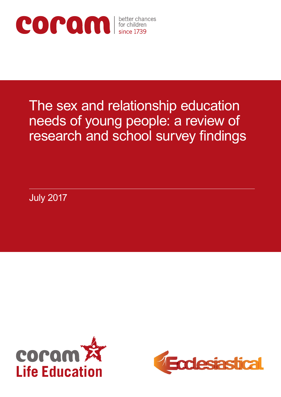

# The sex and relationship education needs of young people: a review of research and school survey findings

July 2017



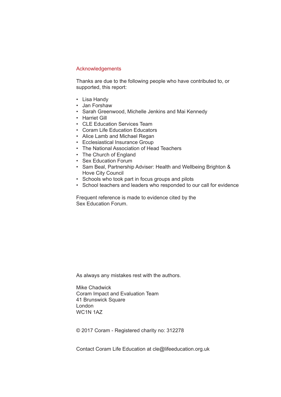#### Acknowledgements

Thanks are due to the following people who have contributed to, or supported, this report:

- Lisa Handy
- Jan Forshaw
- Sarah Greenwood, Michelle Jenkins and Mai Kennedy
- Harriet Gill
- CLE Education Services Team
- Coram Life Education Educators
- Alice Lamb and Michael Regan
- Ecclesiastical Insurance Group
- The National Association of Head Teachers
- The Church of England
- Sex Education Forum
- Sam Beal, Partnership Adviser: Health and Wellbeing Brighton & Hove City Council
- Schools who took part in focus groups and pilots
- School teachers and leaders who responded to our call for evidence

Frequent reference is made to evidence cited by the Sex Education Forum.

As always any mistakes rest with the authors.

Mike Chadwick Coram Impact and Evaluation Team 41 Brunswick Square London WC1N 1AZ

© 2017 Coram - Registered charity no: 312278

Contact Coram Life Education at cle@lifeeducation.org.uk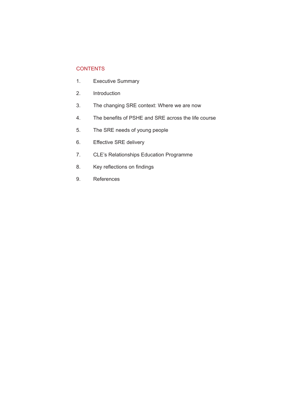## **CONTENTS**

- 1. Executive Summary
- 2. Introduction
- 3. The changing SRE context: Where we are now
- 4. The benefits of PSHE and SRE across the life course
- 5. The SRE needs of young people
- 6. Effective SRE delivery
- 7. CLE's Relationships Education Programme
- 8. Key reflections on findings
- 9. References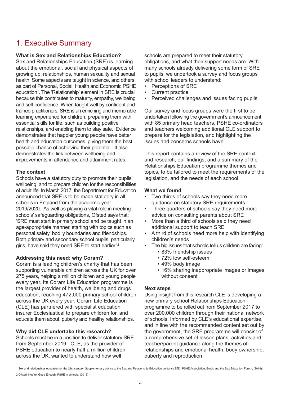# 1. Executive Summary

### **What is Sex and Relationships Education?**

Sex and Relationships Education (SRE) is learning about the emotional, social and physical aspects of growing up, relationships, human sexuality and sexual health. Some aspects are taught in science, and others as part of Personal, Social, Health and Economic PSHE education<sup>1</sup>. The 'Relationship' element in SRE is crucial because this contributes to maturity, empathy, wellbeing and self-confidence. When taught well by confident and trained practitioners, SRE is an enriching and memorable learning experience for children, preparing them with essential skills for life, such as building positive relationships, and enabling them to stay safe. Evidence demonstrates that happier young people have better health and education outcomes, giving them the best possible chance of achieving their potential. It also demonstrates the link between wellbeing and improvements in attendance and attainment rates.

#### **The context**

Schools have a statutory duty to promote their pupils' wellbeing, and to prepare children for the responsibilities of adult life. In March 2017, the Department for Education announced that SRE is to be made statutory in all schools in England from the academic year 2019/2020. As well as playing a vital role in meeting schools' safeguarding obligations, Ofsted says that: 'SRE must start in primary school and be taught in an age-appropriate manner, starting with topics such as personal safety, bodily boundaries and friendships. Both primary and secondary school pupils, particularly girls, have said they need SRE to start earlier.<sup>'2</sup>

#### **Addressing this need: why Coram?**

Coram is a leading children's charity that has been supporting vulnerable children across the UK for over 275 years, helping a million children and young people every year. Its Coram Life Education programme is the largest provider of health, wellbeing and drugs education, reaching 472,000 primary school children across the UK every year. Coram Life Education (CLE) has partnered with specialist education insurer Ecclesiastical to prepare children for, and educate them about, puberty and healthy relationships.

## **Why did CLE undertake this research?**

Schools must be in a position to deliver statutory SRE from September 2019. CLE, as the provider of PSHE education to nearly half a million children across the UK, wanted to understand how well

schools are prepared to meet their statutory obligations, and what their support needs are. With many schools already delivering some form of SRE to pupils, we undertook a survey and focus groups with school leaders to understand:

- Perceptions of SRF
- Current practice
- Perceived challenges and issues facing pupils

Our survey and focus groups were the first to be undertaken following the government's announcement, with 85 primary head teachers, PSHE co-ordinators and teachers welcoming additional CLE support to prepare for the legislation, and highlighting the issues and concerns schools have.

This report contains a review of the SRE context and research, our findings, and a summary of the Relationships Education programme themes and topics, to be tailored to meet the requirements of the legislation, and the needs of each school.

#### **What we found**

- Two thirds of schools say they need more guidance on statutory SRE requirements
- Three quarters of schools say they need more advice on consulting parents about SRE
- More than a third of schools said they need additional support to teach SRE
- A third of schools need more help with identifying children's needs
- The big issues that schools tell us children are facing:
	- 83% friendship issues
	- 72% low self-esteem
	- 49% body image
	- 16% sharing inappropriate images or images without consent

#### **Next steps**

Using insight from this research CLE is developing a new primary school Relationships Education programme to be rolled out from September 2017 to over 200,000 children through their national network of schools. Informed by CLE's educational expertise, and in line with the recommended content set out by the government, the SRE programme will consist of a comprehensive set of lesson plans, activities and teacher/parent guidance along the themes of relationships and emotional health, body ownership, puberty and reproduction.

<sup>1</sup> Sex and relationships education for the 21st century: Supplementary advice to the Sex and Relationship Education guidance DfE. PSHE Association, Brook and the Sex Education Forum, (2014).

<sup>2</sup> Ofsted, Not Yet Good Enough: PSHE in schools, (2013)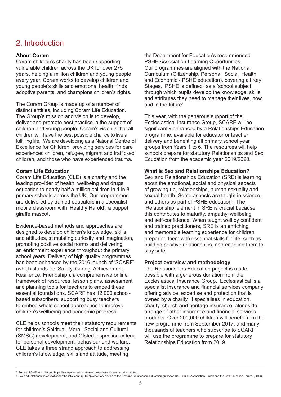# 2. Introduction

## **About Coram**

Coram children's charity has been supporting vulnerable children across the UK for over 275 years, helping a million children and young people every year. Coram works to develop children and young people's skills and emotional health, finds adoptive parents, and champions children's rights.

The Coram Group is made up of a number of distinct entities, including Coram Life Education. The Group's mission and vision is to develop, deliver and promote best practice in the support of children and young people. Coram's vision is that all children will have the best possible chance to live a fulfilling life. We are developing as a National Centre of Excellence for Children, providing services for care experienced children, refugee, migrant and trafficked children, and those who have experienced trauma.

#### **Coram Life Education**

Coram Life Education (CLE) is a charity and the leading provider of health, wellbeing and drugs education to nearly half a million children in 1 in 8 primary schools across the UK. Our programmes are delivered by trained educators in a specialist mobile classroom with 'Healthy Harold', a puppet giraffe mascot.

Evidence-based methods and approaches are designed to develop children's knowledge, skills and attitudes, stimulating curiosity and imagination, promoting positive social norms and delivering an enrichment experience throughout the primary school years. Delivery of high quality programmes has been enhanced by the 2016 launch of 'SCARF' (which stands for 'Safety, Caring, Achievement, Resilience, Friendship'), a comprehensive online framework of resources, lesson plans, assessment and planning tools for teachers to embed these essential foundations. SCARF has 12,000 schoolbased subscribers, supporting busy teachers to embed whole school approaches to improve children's wellbeing and academic progress.

CLE helps schools meet their statutory requirements for children's Spiritual, Moral, Social and Cultural (SMSC) development, and Ofsted inspection criteria for personal development, behaviour and welfare. CLE takes a three strand approach to addressing children's knowledge, skills and attitude, meeting

the Department for Education's recommended PSHE Association Learning Opportunities. Our programmes are aligned with the National Curriculum (Citizenship, Personal, Social, Health and Economic - PSHE education), covering all Key Stages. PSHE is defined $3$  as a 'school subject through which pupils develop the knowledge, skills and attributes they need to manage their lives, now and in the future'.

This year, with the generous support of the Ecclesiastical Insurance Group, SCARF will be significantly enhanced by a Relationships Education programme, available for educator or teacher delivery and benefiting all primary school year groups from Years 1 to 6. The resources will help schools prepare for statutory Relationships and Sex Education from the academic year 2019/2020.

#### **What is Sex and Relationships Education?**

Sex and Relationships Education (SRE) is learning about the emotional, social and physical aspects of growing up, relationships, human sexuality and sexual health. Some aspects are taught in science, and others as part of PSHE education<sup>4</sup>. The 'Relationship' element in SRE is crucial because this contributes to maturity, empathy, wellbeing and self-confidence. When taught well by confident and trained practitioners, SRE is an enriching and memorable learning experience for children, preparing them with essential skills for life, such as building positive relationships, and enabling them to stay safe.

#### **Project overview and methodology**

The Relationships Education project is made possible with a generous donation from the Ecclesiastical Insurance Group. Ecclesiastical is a specialist insurance and financial services company offering advice, expertise and protection that is owned by a charity. It specialises in education, charity, church and heritage insurance, alongside a range of other insurance and financial services products. Over 200,000 children will benefit from the new programme from September 2017, and many thousands of teachers who subscribe to SCARF will use the programme to prepare for statutory Relationships Education from 2019.

<sup>3</sup> Source: PSHE Association. https://www.pshe-association.org.uk/what-we-do/why-pshe-matters

<sup>4</sup> Sex and relationships education for the 21st century: Supplementary advice to the Sex and Relationship Education guidance DfE. PSHE Association, Brook and the Sex Education Forum, (2014)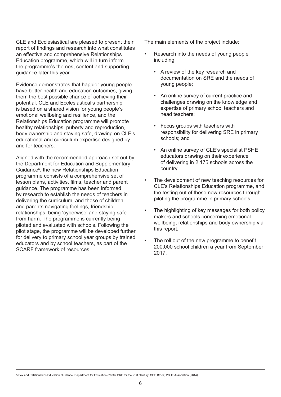CLE and Ecclesiastical are pleased to present their report of findings and research into what constitutes an effective and comprehensive Relationships Education programme, which will in turn inform the programme's themes, content and supporting guidance later this year.

Evidence demonstrates that happier young people have better health and education outcomes, giving them the best possible chance of achieving their potential. CLE and Ecclesiastical's partnership is based on a shared vision for young people's emotional wellbeing and resilience, and the Relationships Education programme will promote healthy relationships, puberty and reproduction, body ownership and staying safe, drawing on CLE's educational and curriculum expertise designed by and for teachers.

Aligned with the recommended approach set out by the Department for Education and Supplementary Guidance5 , the new Relationships Education programme consists of a comprehensive set of lesson plans, activities, films, teacher and parent guidance. The programme has been informed by research to establish the needs of teachers in delivering the curriculum, and those of children and parents navigating feelings, friendship, relationships, being 'cyberwise' and staying safe from harm. The programme is currently being piloted and evaluated with schools. Following the pilot stage, the programme will be developed further for delivery to primary school year groups by trained educators and by school teachers, as part of the SCARF framework of resources.

The main elements of the project include:

- Research into the needs of young people including:
	- A review of the key research and documentation on SRE and the needs of young people;
	- An online survey of current practice and challenges drawing on the knowledge and expertise of primary school teachers and head teachers;
	- Focus groups with teachers with responsibility for delivering SRE in primary schools; and
	- An online survey of CLE's specialist PSHE educators drawing on their experience of delivering in 2,175 schools across the country
- The development of new teaching resources for CLE's Relationships Education programme, and the testing out of these new resources through piloting the programme in primary schools.
- The highlighting of key messages for both policy makers and schools concerning emotional wellbeing, relationships and body ownership via this report.
- The roll out of the new programme to benefit 200,000 school children a year from September 2017.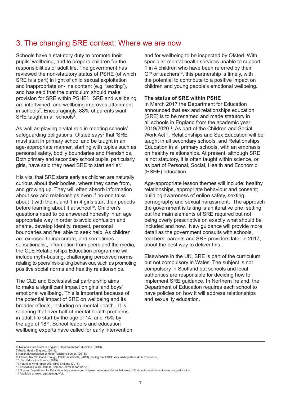# 3. The changing SRE context: Where we are now

Schools have a statutory duty to promote their pupils' wellbeing, and to prepare children for the responsibilities of adult life. The government has reviewed the non-statutory status of PSHE (of which SRE is a part) in light of child sexual exploitation and inappropriate on-line content (e.g. 'sexting'), and has said that the curriculum should make provision for SRE within PSHE6 . SRE and wellbeing are intertwined, and wellbeing improves attainment in schools7 . Encouragingly, 88% of parents want SRE taught in all schools<sup>8</sup>.

As well as playing a vital role in meeting schools' safeguarding obligations, Ofsted says<sup>9</sup> that 'SRE must start in primary school and be taught in an age-appropriate manner, starting with topics such as personal safety, bodily boundaries and friendships. Both primary and secondary school pupils, particularly girls, have said they need SRE to start earlier.'

It is vital that SRE starts early as children are naturally curious about their bodies, where they came from, and growing up. They will often absorb information about sex and relationships even if no-one talks about it with them, and 1 in 4 girls start their periods before learning about it at school<sup>10</sup>. Children's questions need to be answered honestly in an age appropriate way in order to avoid confusion and shame, develop identity, respect, personal boundaries and feel able to seek help. As children are exposed to inaccurate, and sometimes sensationalist, information from peers and the media, the CLE Relationships Education programme will include myth-busting, challenging perceived norms relating to peers' risk-taking behaviour, such as promoting positive social norms and healthy relationships.

The CLE and Ecclesiastical partnership aims to make a significant impact on girls' and boys' emotional wellbeing. This is important because of the potential impact of SRE on wellbeing and its broader effects, including on mental health. It is sobering that over half of mental health problems in adult life start by the age of 14, and 75% by the age of 18<sup>11</sup>. School leaders and education wellbeing experts have called for early intervention, and for wellbeing to be inspected by Ofsted. With specialist mental health services unable to support 1 in 4 children who have been referred by their GP or teachers<sup>12</sup>, this partnership is timely, with the potential to contribute to a positive impact on children and young people's emotional wellbeing.

#### **The status of SRE within PSHE**

In March 2017 the Department for Education announced that sex and relationships education (SRE) is to be renamed and made statutory in all schools in England from the academic year 2019/2020<sup>13</sup>. As part of the Children and Social Work Act<sup>14</sup>, Relationships and Sex Education will be taught in all secondary schools, and Relationships Education in all primary schools, with an emphasis on healthy relationships. At present, although SRE is not statutory, it is often taught within science, or as part of Personal, Social, Health and Economic (PSHE) education.

Age-appropriate lesson themes will include: healthy relationships, appropriate behaviour and consent; building awareness of online safety, sexting, pornography and sexual harassment. The approach the government is taking is an iterative one; setting out the main elements of SRE required but not being overly prescriptive on exactly what should be included and how. New guidance will provide more detail as the government consults with schools, teachers, parents and SRE providers later in 2017, about the best way to deliver this.

Elsewhere in the UK, SRE is part of the curriculum but not compulsory in Wales. The subject is not compulsory in Scotland but schools and local authorities are responsible for deciding how to implement SRE guidance. In Northern Ireland, the Department of Education requires each school to have policies on how it will address relationships and sexuality education.

<sup>6</sup> National Curriculum in England, Department for Education, (2013).

<sup>7</sup> Public Health England, (2014). 8 National Association of Head Teachers' survey, (2013).

<sup>9</sup> Ofsted, Not Yet Good Enough: PSHE in schools, (2013) (finding that PSHE was inadequate in 40% of schools). 10 Sex Education Forum, (2015).

<sup>11</sup> Future in Mind report DfE, NHS England (2015).

<sup>12</sup> Education Policy Institute Time to Deliver report (2016).

<sup>13</sup> Source: Department for Education: https://www.gov.uk/government/news/schools-to-teach-21st-century-relationships-and-sex-education. 14 Available at www.legislation.gov/uk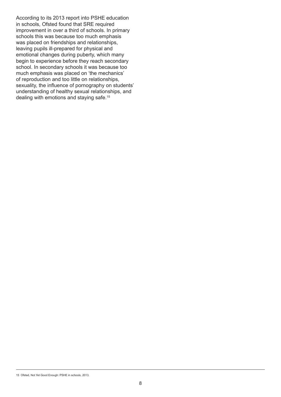According to its 2013 report into PSHE education in schools, Ofsted found that SRE required improvement in over a third of schools. In primary schools this was because too much emphasis was placed on friendships and relationships, leaving pupils ill-prepared for physical and emotional changes during puberty, which many begin to experience before they reach secondary school. In secondary schools it was because too much emphasis was placed on 'the mechanics' of reproduction and too little on relationships, sexuality, the influence of pornography on students' understanding of healthy sexual relationships, and dealing with emotions and staying safe.15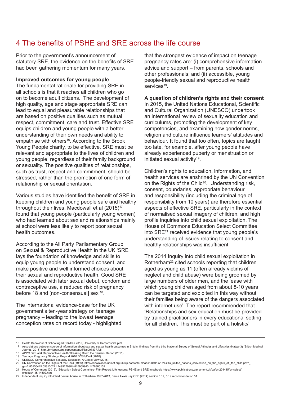# 4 The benefits of PSHE and SRE across the life course

Prior to the government's announcement of statutory SRE, the evidence on the benefits of SRE had been gathering momentum for many years.

#### **Improved outcomes for young people**

The fundamental rationale for providing SRE in all schools is that it reaches all children who go on to become adult citizens. The development of high quality, age and stage appropriate SRE can lead to equal and pleasurable relationships that are based on positive qualities such as mutual respect, commitment, care and trust. Effective SRE equips children and young people with a better understanding of their own needs and ability to empathise with others<sup>16</sup>. According to the Brook Young People charity, to be effective, SRE must be relevant and appropriate to the lives of children and young people, regardless of their family background or sexuality. The positive qualities of relationships, such as trust, respect and commitment, should be stressed, rather than the promotion of one form of relationship or sexual orientation.

Various studies have identified the benefit of SRE in keeping children and young people safe and healthy throughout their lives. Macdowall et al (2015)<sup>17</sup> found that young people (particularly young women) who had learned about sex and relationships mainly at school were less likely to report poor sexual health outcomes.

According to the All Party Parliamentary Group on Sexual & Reproductive Health in the UK 'SRE lays the foundation of knowledge and skills to equip young people to understand consent, and make positive and well informed choices about their sexual and reproductive health. Good SRE is associated with later sexual debut, condom and contraceptive use, a reduced risk of pregnancy before 18 and [non-consensual] sex'18.

The international evidence-base for the UK government's ten-year strategy on teenage pregnancy – leading to the lowest teenage conception rates on record today - highlighted that the strongest evidence of impact on teenage pregnancy rates are: (i) comprehensive information advice and support – from parents, schools and other professionals; and (ii) accessible, young people-friendly sexual and reproductive health services<sup>19</sup>

#### **A question of children's rights and their consent**

In 2015, the United Nations Educational, Scientific and Cultural Organization (UNESCO) undertook an international review of sexuality education and curriculums, promoting the development of key competencies, and examining how gender norms, religion and culture influence learners' attitudes and behaviour. It found that too often, topics are taught too late, for example, after young people have already experienced puberty or menstruation or initiated sexual activity<sup>19</sup>.

Children's rights to education, information, and health services are enshrined by the UN Convention on the Rights of the Child<sup>20</sup>. Understanding risk, consent, boundaries, appropriate behaviour, and responsibility (including the criminal age of responsibility from 10 years) are therefore essential aspects of effective SRE, particularly in the context of normalised sexual imagery of children, and high profile inquiries into child sexual exploitation. The House of Commons Education Select Committee into SRE21 received evidence that young people's understanding of issues relating to consent and healthy relationships was insufficient.

The 2014 Inquiry into child sexual exploitation in Rotherham<sup>22</sup> cited schools reporting that children aged as young as 11 (often already victims of neglect and child abuse) were being groomed by large numbers of older men, and the 'ease with which young children aged from about 8-10 years can be targeted and exploited in this way without their families being aware of the dangers associated with internet use'. The report recommended that 'Relationships and sex education must be provided by trained practitioners in every educational setting for all children. This must be part of a holistic/

cmeduc/145/14502.htm

<sup>16</sup> Health Behaviour of School Aged Children 2015, University of Hertfordshire p99.

<sup>17</sup> Associations between source of information about sex and sexual health outcomes in Britain: findings from the third National Survey of Sexual Attitudes and Lifestyles (Natsal-3) (British Medical<br>Journal, 2015) http://bm

<sup>18</sup> APPG Sexual & Reproductive Health 'Breaking Down the Barriers' Report (2015).<br>19 Teenage Pregnancy Strategy: Beyond 2010 DCSF/DoH (2010)<br>19 UNESCO Comprehensive Sexuality Education: A Global View (2015).<br>20 UN Conventio

ga=2.85156445.558130221.1499270904-815965940.1476365159<br>21 House of Commons (2015). Education Select Committee- Fifth Report: Life lessons: PSHE and SRE in schools https://www.publications.parliament.uk/pa/cm201415/cmsele

<sup>22</sup> Independent Inquiry into Child Sexual Abuse in Rotherham 1997-2013, Dame Alexis Jay OBE (2014) section 5.17, 5.19 recommendation 51.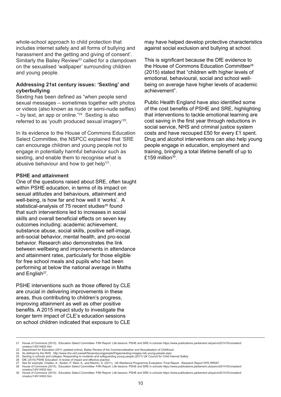whole-school approach to child protection that includes internet safety and all forms of bullying and harassment and the getting and giving of consent'. Similarly the Bailey Review<sup>23</sup> called for a clampdown on the sexualised 'wallpaper' surrounding children and young people.

#### **Addressing 21st century issues: 'Sexting' and cyberbullying**

Sexting has been defined as "when people send sexual messages – sometimes together with photos or videos (also known as nude or semi-nude selfies)  $-$  by text, an app or online."<sup>24</sup> Sexting is also referred to as 'youth produced sexual imagery'25.

In its evidence to the House of Commons Education Select Committee, the NSPCC explained that 'SRE can encourage children and young people not to engage in potentially harmful behaviour such as sexting, and enable them to recognise what is abusive behaviour and how to get help'21.

#### **PSHE and attainment**

One of the questions raised about SRE, often taught within PSHE education, in terms of its impact on sexual attitudes and behaviours, attainment and well-being, is how far and how well it 'works'. A statistical-analysis of 75 recent studies<sup>26</sup> found that such interventions led to increases in social skills and overall beneficial effects on seven key outcomes including: academic achievement, substance abuse, social skills, positive self-image, anti-social behavior, mental health, and pro-social behavior. Research also demonstrates the link between wellbeing and improvements in attendance and attainment rates, particularly for those eligible for free school meals and pupils who had been performing at below the national average in Maths and English<sup>27</sup>.

PSHE interventions such as those offered by CLE are crucial in delivering improvements in these areas, thus contributing to children's progress, improving attainment as well as other positive benefits. A 2015 impact study to investigate the longer term impact of CLE's education sessions on school children indicated that exposure to CLE

may have helped develop protective characteristics against social exclusion and bullying at school.

This is significant because the DfE evidence to the House of Commons Education Committee28 (2015) stated that "children with higher levels of emotional, behavioural, social and school wellbeing on average have higher levels of academic achievement".

Public Health England have also identified some of the cost benefits of PSHE and SRE, highlighting that interventions to tackle emotional learning are cost saving in the first year through reductions in social service, NHS and criminal justice system costs and have recouped £50 for every £1 spent. Drug and alcohol interventions can also help young people engage in education, employment and training, bringing a total lifetime benefit of up to £159 million $30$ .

<sup>21</sup> House of Commons (2015). Education Select Committee- Fifth Report: Life lessons: PSHE and SRE in schools https://www.publications.parliament.uk/pa/cm201415/cmselect/ cmeduc/145/14502.htm

<sup>23</sup> Department for Education (2011 updated online), Bailey Review of the Commercialisation and Sexualisation of Childhood.

<sup>24</sup> As defined by the NHS. http://www.nhs.uk/Livewell/Sexandyoungpeople/Pages/sexting-images-risk-young-people.aspx<br>25 Sexting in schools and colleges: Responding to incidents and safeguarding young people (2017) UK Counci

<sup>26</sup> DfE (2015) PSHE Education: A review of impact and effective practice<br>27 See for example, Challen, A., Noden, P. West, A., and Machin, S. (2011), UK Resilience Programme Evaluation: Final Report. Research Report DFE-RR0

<sup>30</sup> House of Commons (2015). Education Select Committee- Fifth Report: Life lessons: PSHE and SRE in schools https://www.publications.parliament.uk/pa/cm201415/cmselect/ cmeduc/145/14502.htm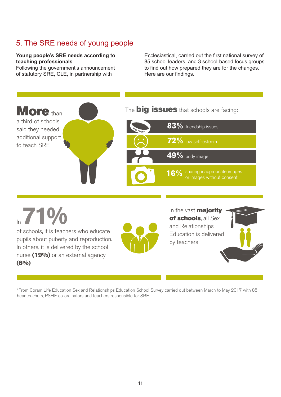#### 5. The SRE needs of young people  $\mathsf{F}$ . The CDE peeds of veups peeble  $\alpha$ , including poople in primary schools from September 2019, children  $\alpha$

## **Young people's SRE needs according to teaching professionals**

Following the government's announcement I chowing the government's annoancement

Young people's SRE needs according to **Ecclesiastical, carried out the first national survey** of eaching professionals<br>
So school leaders, and 3 school-based focus groups<br>
Sollowing the shares and what they are the biggest for the biggest in the biggest in the biggest of the biggest to find out how prepared they are for the changes. Here are our findings.



In **71%** of schools, it is teachers who educate pupils about puberty and reproduction. In others, it is delivered by the school nurse (19%) or an external agency  $(6\%)$ 



In the vast **majority** of schools, all Sex and Relationships Education is delivered by teachers



\*From Coram Life Education Sex and Relationships Education School Survey carried out between March to May 2017 with 85 headteachers, PSHE co-ordinators and teachers responsible for SRE.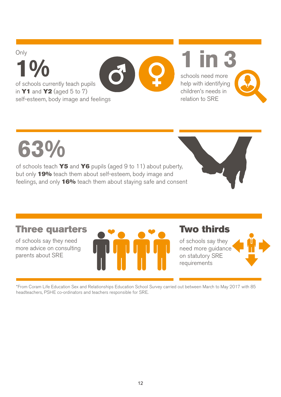$10<sub>o</sub>$  and  $3<sub>o</sub>$ Only **1%** of schools currently teach pupils in  $Y1$  and  $Y2$  (aged 5 to 7) of schools currently teach pupils<br>in **Y1** and **Y2** (aged 5 to 7)<br>self-esteem, body image and feelings out the first national survey of survey of survey of schools about the set  $\mathbb{R}$ Only  $\mathcal{L}$  and in partnership with specialist insurance insurer, Eq. ( ) in partnership with special  $\mathcal{L}$ out the first national survey of schools about their SRE provision and needs.  $\frac{1}{2}$ **1888**<br>1888<br>1888<br>1888

schools need more help with identifying children's needs in relation to SRE<br>relation to SRE schools need more<br>help with identifying<br>children's needs in



of schools currently teach pupils the schools currently teach pupils the

parents about SRE

feelings, and only 16% teach them about staying safe and consent of schools teach Y5 and Y6 pupils (aged 9 to 11) about puberty, but only 19% teach them about self-esteem, body image and of schools teach **Y!**<br>but only **19%** teach<br>jeelings, and only **1** 



## Three quarter **Three quarters**

 $\sigma_{\rm eff}$  say they need they need they need they need they need they need they need they need they need they need they need they need they need they need they need they need they need they need they need they need they ne

more advice on consulting **the same of SRE.** The SRE. of schools say they need parents about SRE



Coram Life Education (CLE), in partnership with specialist insurer, Ecclesiastical, has carried

 $W$  is sex and  $R$  and  $R$  and  $R$  and  $R$  and  $\bar{R}$  set to become computs  $\bar{R}$  and  $\bar{R}$ 

## Two thirds on statutory SREAM CONTROL

on statutory SRE requirements

of schools say they

of schools say they need more guidance on statutory SRE requirements



\*From Coram Life Education Sex and Relationships Education School Survey carried out between March to May 2017 with 85 headteachers, PSHE co-ordinators and teachers responsible for SRE.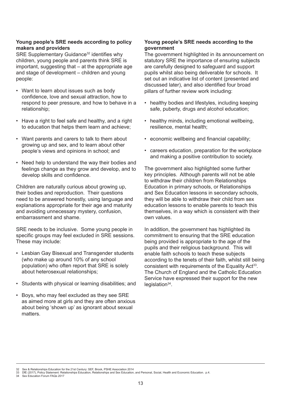#### **Young people's SRE needs according to policy makers and providers**

SRE Supplementary Guidance<sup>32</sup> identifies why children, young people and parents think SRE is important, suggesting that – at the appropriate age and stage of development – children and young people:

- Want to learn about issues such as body confidence, love and sexual attraction, how to respond to peer pressure, and how to behave in a relationship;
- Have a right to feel safe and healthy, and a right to education that helps them learn and achieve;
- Want parents and carers to talk to them about growing up and sex, and to learn about other people's views and opinions in school; and
- Need help to understand the way their bodies and feelings change as they grow and develop, and to develop skills and confidence.

Children are naturally curious about growing up, their bodies and reproduction. Their questions need to be answered honestly, using language and explanations appropriate for their age and maturity and avoiding unnecessary mystery, confusion, embarrassment and shame.

SRE needs to be inclusive. Some young people in specific groups may feel excluded in SRE sessions. These may include:

- Lesbian Gay Bisexual and Transgender students (who make up around 10% of any school population) who often report that SRE is solely about heterosexual relationships;
- Students with physical or learning disabilities; and
- Boys, who may feel excluded as they see SRE as aimed more at girls and they are often anxious about being 'shown up' as ignorant about sexual matters.

#### **Young people's SRE needs according to the government**

The government highlighted in its announcement on statutory SRE the importance of ensuring subjects are carefully designed to safeguard and support pupils whilst also being deliverable for schools. It set out an indicative list of content (presented and discussed later), and also identified four broad pillars of further review work including:

- healthy bodies and lifestyles, including keeping safe, puberty, drugs and alcohol education;
- healthy minds, including emotional wellbeing, resilience, mental health;
- economic wellbeing and financial capability;
- careers education, preparation for the workplace and making a positive contribution to society.

The government also highlighted some further key principles. Although parents will not be able to withdraw their children from Relationships Education in primary schools, or Relationships and Sex Education lessons in secondary schools, they will be able to withdraw their child from sex education lessons to enable parents to teach this themselves, in a way which is consistent with their own values.

In addition, the government has highlighted its commitment to ensuring that the SRE education being provided is appropriate to the age of the pupils and their religious background. This will enable faith schools to teach these subjects according to the tenets of their faith, whilst still being consistent with requirements of the Equality Act<sup>33</sup>. The Church of England and the Catholic Education Service have expressed their support for the new  $legislation<sup>34</sup>$ .

<sup>32</sup> Sex & Relationships Education for the 21st Century: SEF, Brook, PSHE Association 2014

<sup>33</sup> DfE (2017), Policy Statement: Relationships Education, Relationships and Sex Education, and Personal, Social, Health and Economic Education. p.4. 34 Sex Education Forum FAQs 2017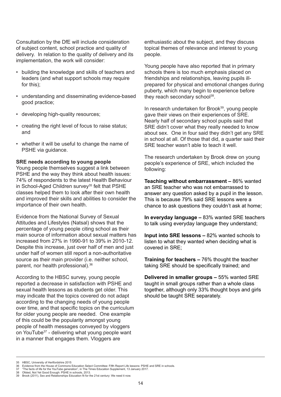Consultation by the DfE will include consideration of subject content, school practice and quality of delivery. In relation to the quality of delivery and its implementation, the work will consider:

- building the knowledge and skills of teachers and leaders (and what support schools may require for this);
- understanding and disseminating evidence-based good practice;
- developing high-quality resources;
- creating the right level of focus to raise status; and
- whether it will be useful to change the name of PSHE via guidance.

#### **SRE needs according to young people**

Young people themselves suggest a link between PSHE and the way they think about health issues: 74% of respondents to the latest Health Behaviour in School-Aged Children survey<sup>35</sup> felt that PSHE classes helped them to look after their own health and improved their skills and abilities to consider the importance of their own health.

Evidence from the National Survey of Sexual Attitudes and Lifestyles (Natsal) shows that the percentage of young people citing school as their main source of information about sexual matters has increased from 27% in 1990-91 to 39% in 2010-12. Despite this increase, just over half of men and just under half of women still report a non-authoritative source as their main provider (i.e. neither school, parent, nor health professional).36

According to the HBSC survey, young people reported a decrease in satisfaction with PSHE and sexual health lessons as students get older. This may indicate that the topics covered do not adapt according to the changing needs of young people over time, and that specific topics on the curriculum for older young people are needed. One example of this could be the popularity amongst young people of health messages conveyed by vloggers on YouTube<sup>37</sup> - delivering what young people want in a manner that engages them. Vloggers are

enthusiastic about the subject, and they discuss topical themes of relevance and interest to young people.

Young people have also reported that in primary schools there is too much emphasis placed on friendships and relationships, leaving pupils illprepared for physical and emotional changes during puberty, which many begin to experience before they reach secondary school<sup>38</sup>.

In research undertaken for Brook<sup>39</sup>, young people gave their views on their experiences of SRE. Nearly half of secondary school pupils said that SRE didn't cover what they really needed to know about sex. One in four said they didn't get any SRE in school at all. Of those that did, a quarter said their SRE teacher wasn't able to teach it well.

The research undertaken by Brook drew on young people's experience of SRE, which included the following:

**Teaching without embarrassment –** 86% wanted an SRE teacher who was not embarrassed to answer any question asked by a pupil in the lesson. This is because 79% said SRE lessons were a chance to ask questions they couldn't ask at home;

**In everyday language –** 83% wanted SRE teachers to talk using everyday language they understand;

**Input into SRE lessons –** 82% wanted schools to listen to what they wanted when deciding what is covered in SRE;

**Training for teachers –** 76% thought the teacher taking SRE should be specifically trained; and

**Delivered in smaller groups –** 55% wanted SRE taught in small groups rather than a whole class together, although only 33% thought boys and girls should be taught SRE separately.

<sup>35</sup> HBSC, University of Hertfordshire 2015<br>36 Evidence from the House of Commons

<sup>36</sup> Evidence from the House of Commons Education Select Committee: Fifth Report Life lessons: PSHE and SRE in schools. 37 "The facts of life for the YouTube generation", in The Times Education Supplement, 13 January 2017.

<sup>38</sup> Ofsted, Not Yet Good Enough: PSHE in schools, 2013. 39 Brook (2011), Sex and Relationships Education fit for the 21st century: We need it now.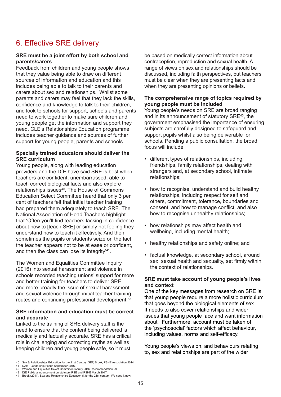# 6. Effective SRE delivery

#### **SRE must be a joint effort by both school and parents/carers**

Feedback from children and young people shows that they value being able to draw on different sources of information and education and this includes being able to talk to their parents and carers about sex and relationships. Whilst some parents and carers may feel that they lack the skills, confidence and knowledge to talk to their children, and look to schools for support, schools and parents need to work together to make sure children and young people get the information and support they need. CLE's Relationships Education programme includes teacher guidance and sources of further support for young people, parents and schools.

#### **Specially trained educators should deliver the SRE curriculum**

Young people, along with leading education providers and the DfE have said SRE is best when teachers are confident, unembarrassed, able to teach correct biological facts and also explore relationships issues<sup>40</sup>. The House of Commons Education Select Committee heard that only 3 per cent of teachers felt that initial teacher training had prepared them adequately to teach SRE. The National Association of Head Teachers highlight that 'Often you'll find teachers lacking in confidence about how to [teach SRE] or simply not feeling they understand how to teach it effectively. And then sometimes the pupils or students seize on the fact the teacher appears not to be at ease or confident, and then the class can lose its integrity'41.

The Women and Equalities Committee Inquiry (2016) into sexual harassment and violence in schools recorded teaching unions' support for more and better training for teachers to deliver SRE, and more broadly the issue of sexual harassment and sexual violence through initial teacher training routes and continuing professional development.<sup>42</sup>

#### **SRE information and education must be correct and accurate**

Linked to the training of SRE delivery staff is the need to ensure that the content being delivered is medically and factually accurate. SRE has a critical role in challenging and correcting myths as well as keeping children and young people safe, so it must

be based on medically correct information about contraception, reproduction and sexual health. A range of views on sex and relationships should be discussed, including faith perspectives, but teachers must be clear when they are presenting facts and when they are presenting opinions or beliefs.

#### **The comprehensive range of topics required by young people must be included**

Young people's needs on SRE are broad ranging and in its announcement of statutory SRE43, the government emphasised the importance of ensuring subjects are carefully designed to safeguard and support pupils whilst also being deliverable for schools. Pending a public consultation, the broad focus will include:

- different types of relationships, including friendships, family relationships, dealing with strangers and, at secondary school, intimate relationships;
- how to recognise, understand and build healthy relationships, including respect for self and others, commitment, tolerance, boundaries and consent, and how to manage conflict, and also how to recognise unhealthy relationships;
- how relationships may affect health and wellbeing, including mental health;
- healthy relationships and safety online; and
- factual knowledge, at secondary school, around sex, sexual health and sexuality, set firmly within the context of relationships.

#### **SRE must take account of young people's lives and context**

One of the key messages from research on SRE is that young people require a more holistic curriculum that goes beyond the biological elements of sex. It needs to also cover relationships and wider issues that young people face and want information about. Furthermore, account must be taken of the 'psychosocial' factors which affect behaviour, including values, norms and self-efficacy.

Young people's views on, and behaviours relating to, sex and relationships are part of the wider

<sup>40</sup> Sex & Relationships Education for the 21st Century: SEF, Brook, PSHE Association 2014<br>41 NAHT Leadership Focus Sentember 2016

<sup>41</sup> NAHT Leadership Focus September 2016. 42 Women and Equalities Select Committee Inquiry 2016 Recommendation 29.

<sup>43</sup> DfE Public announcement on statutory RSE and PSHE March 2017. 44 Brook (2011), Sex and Relationships Education fit for the 21st century: We need it now.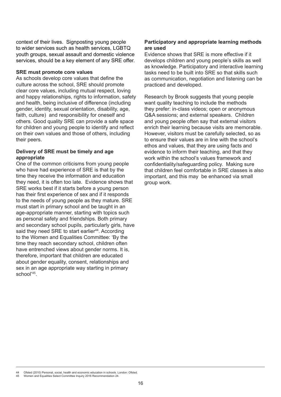context of their lives. Signposting young people to wider services such as health services, LGBTQ youth groups, sexual assault and domestic violence services, should be a key element of any SRE offer.

#### **SRE must promote core values**

As schools develop core values that define the culture across the school, SRE should promote clear core values, including mutual respect, loving and happy relationships, rights to information, safety and health, being inclusive of difference (including gender, identity, sexual orientation, disability, age, faith, culture) and responsibility for oneself and others. Good quality SRE can provide a safe space for children and young people to identify and reflect on their own values and those of others, including their peers.

#### **Delivery of SRE must be timely and age appropriate**

One of the common criticisms from young people who have had experience of SRE is that by the time they receive the information and education they need, it is often too late. Evidence shows that SRE works best if it starts before a young person has their first experience of sex and if it responds to the needs of young people as they mature. SRE must start in primary school and be taught in an age-appropriate manner, starting with topics such as personal safety and friendships. Both primary and secondary school pupils, particularly girls, have said they need SRE to start earlier<sup>44</sup>. According to the Women and Equalities Committee: 'By the time they reach secondary school, children often have entrenched views about gender norms. It is, therefore, important that children are educated about gender equality, consent, relationships and sex in an age appropriate way starting in primary school<sup>'45</sup>

#### **Participatory and appropriate learning methods are used**

Evidence shows that SRE is more effective if it develops children and young people's skills as well as knowledge. Participatory and interactive learning tasks need to be built into SRE so that skills such as communication, negotiation and listening can be practiced and developed.

Research by Brook suggests that young people want quality teaching to include the methods they prefer: in-class videos; open or anonymous Q&A sessions; and external speakers. Children and young people often say that external visitors enrich their learning because visits are memorable. However, visitors must be carefully selected, so as to ensure their values are in line with the school's ethos and values, that they are using facts and evidence to inform their teaching, and that they work within the school's values framework and confidentiality/safeguarding policy. Making sure that children feel comfortable in SRE classes is also important, and this may be enhanced via small group work.

#### 44 Ofsted (2010) Personal, social, health and economic education in schools. London: Ofsted.<br>45 Women and Equalities Select Committee Inquiry 2016 Pecommendation 24

<sup>45</sup> Women and Equalities Select Committee Inquiry 2016 Recommendation 24.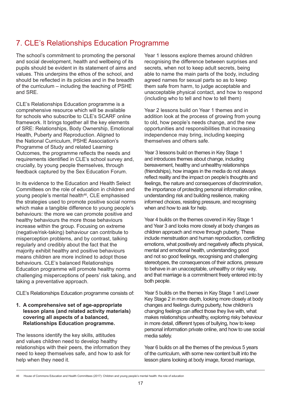# 7. CLE's Relationships Education Programme

The school's commitment to promoting the personal and social development, health and wellbeing of its pupils should be evident in its statement of aims and values. This underpins the ethos of the school, and should be reflected in its policies and in the breadth of the curriculum – including the teaching of PSHE and SRE.

CLE's Relationships Education programme is a comprehensive resource which will be available for schools who subscribe to CLE's SCARF online framework. It brings together all the key elements of SRE: Relationships, Body Ownership, Emotional Health, Puberty and Reproduction. Aligned to the National Curriculum, PSHE Association's Programme of Study and related Learning Outcomes, the programme reflects the needs and requirements identified in CLE's school survey and, crucially, by young people themselves, through feedback captured by the Sex Education Forum.

In its evidence to the Education and Health Select Committees on the role of education in children and young people's mental health<sup>46</sup>. CLE emphasised the strategies used to promote positive social norms which make a tangible difference to young people's behaviours: the more we can promote positive and healthy behaviours the more those behaviours increase within the group. Focusing on extreme (negative/risk-taking) behaviour can contribute to misperception problems, and by contrast, talking regularly and credibly about the fact that the majority exhibit healthy and positive behaviours means children are more inclined to adopt those behaviours. CLE's balanced Relationships Education programme will promote healthy norms challenging misperceptions of peers' risk taking, and taking a preventative approach.

CLE's Relationships Education programme consists of:

#### **1. A comprehensive set of age-appropriate lesson plans (and related activity materials) covering all aspects of a balanced, Relationships Education programme.**

The lessons identify the key skills, attitudes and values children need to develop healthy relationships with their peers, the information they need to keep themselves safe, and how to ask for help when they need it.

Year 1 lessons explore themes around children recognising the difference between surprises and secrets, when not to keep adult secrets, being able to name the main parts of the body, including agreed names for sexual parts so as to keep them safe from harm, to judge acceptable and unacceptable physical contact, and how to respond (including who to tell and how to tell them)

Year 2 lessons build on Year 1 themes and in addition look at the process of growing from young to old, how people's needs change, and the new opportunities and responsibilities that increasing independence may bring, including keeping themselves and others safe.

Year 3 lessons build on themes in Key Stage 1 and introduces themes about change, including bereavement, healthy and unhealthy relationships (friendships), how images in the media do not always reflect reality and the impact on people's thoughts and feelings, the nature and consequences of discrimination, the importance of protecting personal information online, understanding risk and building resilience, making informed choices, resisting pressure, and recognising when and how to ask for help.

Year 4 builds on the themes covered in Key Stage 1 and Year 3 and looks more closely at body changes as children approach and move through puberty. These include menstruation and human reproduction, conflicting emotions, what positively and negatively affects physical, mental and emotional health, understanding good and not so good feelings, recognising and challenging stereotypes, the consequences of their actions, pressure to behave in an unacceptable, unhealthy or risky way, and that marriage is a commitment freely entered into by both people.

Year 5 builds on the themes in Key Stage 1 and Lower Key Stage 2 in more depth, looking more closely at body changes and feelings during puberty, how children's changing feelings can affect those they live with, what makes relationships unhealthy, exploring risky behaviour in more detail, different types of bullying, how to keep personal information private online, and how to use social media safely.

Year 6 builds on all the themes of the previous 5 years of the curriculum, with some new content built into the lesson plans looking at body image, forced marriage,

<sup>46</sup> House of Commons Education and Health Committees (2017): Children and young people's mental health: the role of education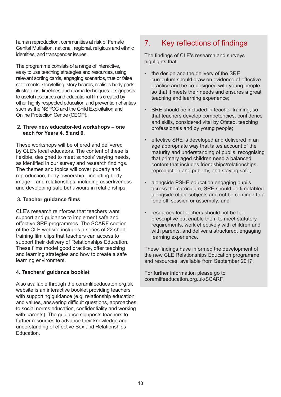human reproduction, communities at risk of Female Genital Mutilation, national, regional, religious and ethnic identities, and transgender issues.

The programme consists of a range of interactive, easy to use teaching strategies and resources, using relevant sorting cards, engaging scenarios, true or false statements, storytelling, story boards, realistic body parts illustrations, timelines and drama techniques. It signposts to useful resources and educational films created by other highly respected education and prevention charities such as the NSPCC and the Child Exploitation and Online Protection Centre (CEOP).

#### **2. Three new educator-led workshops – one each for Years 4, 5 and 6.**

These workshops will be offered and delivered by CLE's local educators. The content of these is flexible, designed to meet schools' varying needs, as identified in our survey and research findings. The themes and topics will cover puberty and reproduction, body ownership - including body image – and relationships, including assertiveness and developing safe behaviours in relationships.

## **3. Teacher guidance films**

CLE's research reinforces that teachers want support and guidance to implement safe and effective SRE programmes. The SCARF section of the CLE website includes a series of 22 short training film clips that teachers can access to support their delivery of Relationships Education. These films model good practice, offer teaching and learning strategies and how to create a safe learning environment.

## **4. Teachers' guidance booklet**

Also available through the coramlifeeducaton.org.uk website is an interactive booklet providing teachers with supporting guidance (e.g. relationship education and values, answering difficult questions, approaches to social norms education, confidentiality and working with parents). The guidance signposts teachers to further resources to advance their knowledge and understanding of effective Sex and Relationships Education.

# 7. Key reflections of findings

The findings of CLE's research and surveys highlights that:

- the design and the delivery of the SRE curriculum should draw on evidence of effective practice and be co-designed with young people so that it meets their needs and ensures a great teaching and learning experience;
- SRE should be included in teacher training, so that teachers develop competencies, confidence and skills, considered vital by Ofsted, teaching professionals and by young people;
- effective SRE is developed and delivered in an age appropriate way that takes account of the maturity and understanding of pupils, recognising that primary aged children need a balanced content that includes friendships/relationships, reproduction and puberty, and staying safe;
- alongside PSHE education engaging pupils across the curriculum, SRE should be timetabled alongside other subjects and not be confined to a 'one off' session or assembly; and
- resources for teachers should not be too prescriptive but enable them to meet statutory requirements, work effectively with children and with parents, and deliver a structured, engaging learning experience.

These findings have informed the development of the new CLE Relationships Education programme and resources, available from September 2017.

For further information please go to coramlifeeducation.org.uk/SCARF.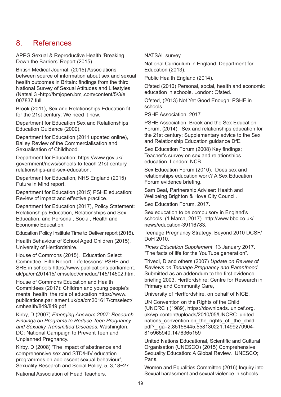# 8. References

APPG Sexual & Reproductive Health 'Breaking Down the Barriers' Report (2015).

British Medical Journal, (2015) Associations between source of information about sex and sexual health outcomes in Britain: findings from the third National Survey of Sexual Attitudes and Lifestyles (Natsal 3 -http://bmjopen.bmj.com/content/5/3/e 007837.full.

Brook (2011), Sex and Relationships Education fit for the 21st century: We need it now.

Department for Education Sex and Relationships Education Guidance (2000).

Department for Education (2011 updated online), Bailey Review of the Commercialisation and Sexualisation of Childhood.

Department for Education: https://www.gov.uk/ government/news/schools-to-teach-21st-centuryrelationships-and-sex-education.

Department for Education, NHS England (2015) Future in Mind report.

Department for Education (2015) PSHE education: Review of impact and effective practice.

Department for Education (2017), Policy Statement: Relationships Education, Relationships and Sex Education, and Personal, Social, Health and Economic Education.

Education Policy Institute Time to Deliver report (2016).

Health Behaviour of School Aged Children (2015), University of Hertfordshire.

House of Commons (2015). Education Select Committee- Fifth Report: Life lessons: PSHE and SRE in schools https://www.publications.parliament. uk/pa/cm201415/ cmselect/cmeduc/145/14502.htm.

House of Commons Education and Health Committees (2017): Children and young people's mental health: the role of education https://www. publications.parliament.uk/pa/cm201617/cmselect/ cmhealth/849/849.pdf

Kirby, D (2007) *Emerging Answers 2007: Research Findings on Programs to Reduce Teen Pregnancy and Sexually Transmitted Diseases.* Washington, DC: National Campaign to Prevent Teen and Unplanned Pregnancy.

Kirby, D (2008) 'The impact of abstinence and comprehensive sex and STD/HIV education programmes on adolescent sexual behaviour', Sexuality Research and Social Policy, 5, 3,18−27.

National Association of Head Teachers.

NATSAL survey.

National Curriculum in England, Department for Education (2013).

Public Health England (2014).

Ofsted (2010) Personal, social, health and economic education in schools. London: Ofsted.

Ofsted, (2013) Not Yet Good Enough: PSHE in schools.

PSHE Association, 2017.

PSHE Association, Brook and the Sex Education Forum, (2014). Sex and relationships education for the 21st century: Supplementary advice to the Sex and Relationship Education guidance DfE.

Sex Education Forum (2008) Key findings; Teacher's survey on sex and relationships education. London: NCB.

Sex Education Forum (2010). Does sex and relationships education work? A Sex Education Forum evidence briefing.

Sam Beal, Partnership Adviser: Health and Wellbeing Brighton & Hove City Council.

Sex Education Forum, 2017.

Sex education to be compulsory in England's schools. (1 March, 2017) http://www.bbc.co.uk/ news/education-39116783.

Teenage Pregnancy Strategy: Beyond 2010 DCSF/ DoH 2010.

*Times Education Supplement*, 13 January 2017. "The facts of life for the YouTube generation".

Trivedi, D and others (2007) *Update on Review of Reviews on Teenage Pregnancy and Parenthood*. Submitted as an addendum to the first evidence briefing 2003. Hertfordshire: Centre for Research in Primary and Community Care,

University of Hertfordshire, on behalf of NICE.

UN Convention on the Rights of the Child (UNCRC ) (1989), https://downloads. unicef.org. uk/wp-content/uploads/2010/05/UNCRC\_united\_ nations convention on the rights of the child. pdf?\_ ga=2.85156445.558130221.1499270904- 815965940.1476365159

United Nations Educational, Scientific and Cultural Organisation (UNESCO) (2015) Comprehensive Sexuality Education: A Global Review. UNESCO; Paris.

Women and Equalities Committee (2016) Inquiry into Sexual harassment and sexual violence in schools.